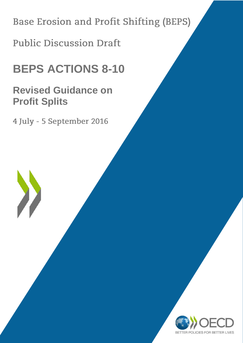**Base Erosion and Profit Shifting (BEPS)** 

**Public Discussion Draft** 

# **BEPS ACTIONS 8-10**

# **Revised Guidance on Profit Splits**

4 July - 5 September 2016

 $\sum_{i=1}^{n}$ 

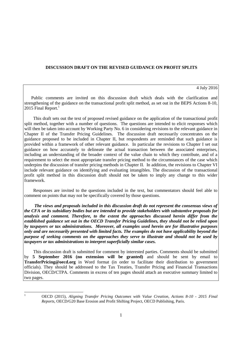# **DISCUSSION DRAFT ON THE REVISED GUIDANCE ON PROFIT SPLITS**

#### 4 July 2016

Public comments are invited on this discussion draft which deals with the clarification and strengthening of the guidance on the transactional profit split method, as set out in the BEPS Actions 8-10, 2015 Final Report. $<sup>1</sup>$ </sup>

This draft sets out the text of proposed revised guidance on the application of the transactional profit split method, together with a number of questions. The questions are intended to elicit responses which will then be taken into account by Working Party No. 6 in considering revisions to the relevant guidance in Chapter II of the Transfer Pricing Guidelines. The discussion draft necessarily concentrates on the guidance proposed to be included in Chapter II, but respondents are reminded that such guidance is provided within a framework of other relevant guidance. In particular the revisions to Chapter I set out guidance on how accurately to delineate the actual transaction between the associated enterprises, including an understanding of the broader context of the value chain to which they contribute, and of a requirement to select the most appropriate transfer pricing method to the circumstances of the case which underpins the discussion of transfer pricing methods in Chapter II. In addition, the revisions to Chapter VI include relevant guidance on identifying and evaluating intangibles. The discussion of the transactional profit split method in this discussion draft should not be taken to imply any change to this wider framework.

Responses are invited to the questions included in the text, but commentators should feel able to comment on points that may not be specifically covered by those questions.

*The views and proposals included in this discussion draft do not represent the consensus views of the CFA or its subsidiary bodies but are intended to provide stakeholders with substantive proposals for analysis and comment. Therefore, to the extent the approaches discussed herein differ from the established guidance set out in the OECD Transfer Pricing Guidelines, they should not be relied upon by taxpayers or tax administrations. Moreover, all examples used herein are for illustrative purposes only and are necessarily presented with limited facts. The examples do not have applicability beyond the purpose of seeking comments on the approaches they serve to illustrate and should not be used by taxpayers or tax administrations to interpret superficially similar cases.* 

This discussion draft is submitted for comment by interested parties. Comments should be submitted by **5 September 2016 (no extension will be granted)** and should be sent by email to **TransferPricing@oecd.org** in Word format (in order to facilitate their distribution to government officials). They should be addressed to the Tax Treaties, Transfer Pricing and Financial Transactions Division, OECD/CTPA. Comments in excess of ten pages should attach an executive summary limited to two pages.

 $\mathbf{1}$ 

<sup>1</sup> OECD (2015), *Aligning Transfer Pricing Outcomes with Value Creation, Actions 8-10 - 2015 Final Reports*, OECD/G20 Base Erosion and Profit Shifting Project, OECD Publishing, Paris.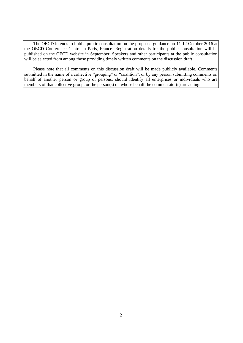The OECD intends to hold a public consultation on the proposed guidance on 11-12 October 2016 at the OECD Conference Centre in Paris, France. Registration details for the public consultation will be published on the OECD website in September. Speakers and other participants at the public consultation will be selected from among those providing timely written comments on the discussion draft.

Please note that all comments on this discussion draft will be made publicly available. Comments submitted in the name of a collective "grouping" or "coalition", or by any person submitting comments on behalf of another person or group of persons, should identify all enterprises or individuals who are members of that collective group, or the person(s) on whose behalf the commentator(s) are acting.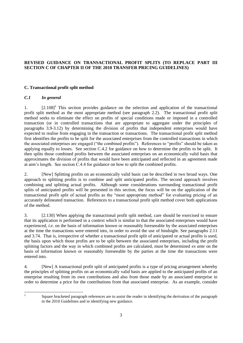# **REVISED GUIDANCE ON TRANSACTIONAL PROFIT SPLITS (TO REPLACE PART III SECTION C OF CHAPTER II OF THE 2010 TRANSFER PRICING GUIDELINES)**

# **C. Transactional profit split method**

# *C.1 In general*

1.  $[2.108]^2$  This section provides guidance on the selection and application of the transactional profit split method as the most appropriate method (see paragraph 2.2). The transactional profit split method seeks to eliminate the effect on profits of special conditions made or imposed in a controlled transaction (or in controlled transactions that are appropriate to aggregate under the principles of paragraphs 3.9-3.12) by determining the division of profits that independent enterprises would have expected to realise from engaging in the transaction or transactions. The transactional profit split method first identifies the profits to be split for the associated enterprises from the controlled transactions in which the associated enterprises are engaged ("the combined profits"). References to "profits" should be taken as applying equally to losses. See section C.4.2 for guidance on how to determine the profits to be split. It then splits those combined profits between the associated enterprises on an economically valid basis that approximates the division of profits that would have been anticipated and reflected in an agreement made at arm's length. See section C.4.4 for guidance on how to split the combined profits.

2. [New] Splitting profits on an economically valid basis can be described in two broad ways. One approach to splitting profits is to combine and split anticipated profits. The second approach involves combining and splitting actual profits. Although some considerations surrounding transactional profit splits of anticipated profits will be presented in this section, the focus will be on the application of the transactional profit split of actual profits as the "most appropriate method" for evaluating pricing of an accurately delineated transaction. References to a transactional profit split method cover both applications of the method.

3. [2.130] When applying the transactional profit split method, care should be exercised to ensure that its application is performed in a context which is similar to that the associated enterprises would have experienced, *i.e.* on the basis of information known or reasonably foreseeable by the associated enterprises at the time the transactions were entered into, in order to avoid the use of hindsight. See paragraphs 2.11 and 3.74. That is, irrespective of whether a transactional profit split of anticipated or actual profits is used, the basis upon which those profits are to be split between the associated enterprises, including the profit splitting factors and the way in which combined profits are calculated, must be determined *ex ante* on the basis of information known or reasonably foreseeable by the parties at the time the transactions were entered into.

4. [New] A transactional profit split of anticipated profits is a type of pricing arrangement whereby the principles of splitting profits on an economically valid basis are applied to the anticipated profits of an enterprise resulting from its own contributions and also from those made by an associated enterprise in order to determine a price for the contributions from that associated enterprise. As an example, consider

 $\frac{1}{2}$ 

Square bracketed paragraph references are to assist the reader in identifying the derivation of the paragraph in the 2010 Guidelines and in identifying new guidance.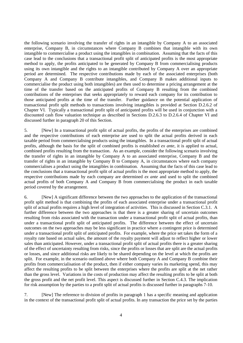the following scenario involving the transfer of rights in an intangible by Company A to an associated enterprise, Company B, in circumstances where Company B combines that intangible with its own intangible to commercialise a product using the intangibles in combination. Assuming that the facts of this case lead to the conclusions that a transactional profit split of anticipated profits is the most appropriate method to apply, the profits anticipated to be generated by Company B from commercialising products using its own intangible and the rights to an intangible contributed by Company A over an appropriate period are determined. The respective contributions made by each of the associated enterprises (both Company A and Company B contribute intangibles, and Company B makes additional inputs to commercialise the product using both intangibles) are then used to determine a pricing arrangement at the time of the transfer based on the anticipated profits of Company B resulting from the combined contributions of the enterprises that seeks appropriately to reward each company for its contribution to those anticipated profits at the time of the transfer. Further guidance on the potential application of transactional profit split methods to transactions involving intangibles is provided at Section D.2.6.2 of Chapter VI. Typically a transactional profit split of anticipated profits will be used in conjunction with a discounted cash flow valuation technique as described in Sections D.2.6.3 to D.2.6.4 of Chapter VI and discussed further in paragraph 20 of this Section.

5. [New] In a transactional profit split of actual profits, the profits of the enterprises are combined and the respective contributions of each enterprise are used to split the actual profits derived in each taxable period from commercialising products using the intangibles. In a transactional profit split of actual profits, although the basis for the split of combined profits is established *ex ante*, it is applied to actual, combined profits resulting from the transaction. As an example, consider the following scenario involving the transfer of rights in an intangible by Company A to an associated enterprise, Company B and the transfer of rights in an intangible by Company B to Company A, in circumstances where each company commercialises a product using the intangibles in combination. Assuming that the facts of this case lead to the conclusions that a transactional profit split of actual profits is the most appropriate method to apply, the respective contributions made by each company are determined *ex ante* and used to split the combined actual profits of both Company A and Company B from commercialising the product in each taxable period covered by the arrangement.

6. [New] A significant difference between the two approaches to the application of the transactional profit split method is that combining the profits of each associated enterprise under a transactional profit split of actual profits requires a high level of integration of activities. This is discussed in Section C.3.1. A further difference between the two approaches is that there is a greater sharing of uncertain outcomes resulting from risks associated with the transaction under a transactional profit split of actual profits, than under a transactional profit split of anticipated profits. The difference between the effect of uncertain outcomes on the two approaches may be less significant in practice where a contingent price is determined under a transactional profit split of anticipated profits. For example, where the price set takes the form of a royalty rate based on actual sales, the amount of the royalty payment will adjust to reflect higher or lower sales than anticipated. However, under a transactional profit split of actual profits there is a greater sharing of the effect of uncertainty resulting from risks, since the profits or losses that are split are the actual profits or losses, and since additional risks are likely to be shared depending on the level at which the profits are split. For example, in the scenario outlined above where both Company A and Company B combine their profits from commercialisation of the product, then if either company varies its marketing spend, this may affect the resulting profits to be split between the enterprises where the profits are split at the net rather than the gross level. Variations in the costs of production may affect the resulting profits to be split at both the gross profit and the net profit level. This aspect is discussed further in Section C.4.3. The implication for risk assumption by the parties to a profit split of actual profits is discussed further in paragraphs 7-10.

7. [New] The reference to division of profits in paragraph 1 has a specific meaning and application in the context of the transactional profit split of actual profits. In any transaction the price set by the parties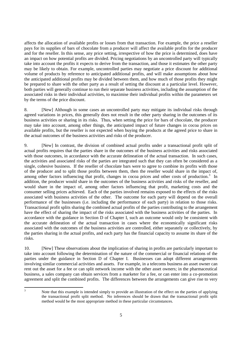affects the allocation of available profits or losses from that transaction. For example, the price a reseller pays for its supplies of bars of chocolate from a producer will affect the available profits for the producer and for the reseller. In this sense, any price setting, irrespective of how the price is determined, does have an impact on how potential profits are divided. Pricing negotiations by an uncontrolled party will typically take into account the profits it expects to derive from the transaction, and those it estimates the other party may be likely to obtain. For example, uncontrolled parties may negotiate a price discount for additional volume of products by reference to anticipated additional profits, and will make assumptions about how the anticipated additional profits may be divided between them, and how much of those profits they might be prepared to share with the other party as a result of setting the discount at a particular level. However, both parties will generally continue to run their separate business activities, including the assumption of the associated risks in their individual activities, to maximise their individual profits within the parameters set by the terms of the price discount.

8. [New] Although in some cases an uncontrolled party may mitigate its individual risks through agreed variations in prices, this generally does not result in the other party sharing in the outcomes of its business activities or sharing in its risks. Thus, when setting the price for bars of chocolate, the producer may take into account, among other things, the anticipated impact of future changes in cocoa prices on available profits, but the reseller is not expected when buying the products at the agreed price to share in the actual outcomes of the business activities and risks of the producer.

9. [New] In contrast, the division of combined actual profits under a transactional profit split of actual profits requires that the parties share in the outcomes of the business activities and risks associated with those outcomes, in accordance with the accurate delineation of the actual transaction. In such cases, the activities and associated risks of the parties are integrated such that they can often be considered as a single, cohesive business. If the reseller of chocolate bars were to agree to combine its profits with those of the producer and to split those profits between them, then the reseller would share in the impact of, among other factors influencing that profit, changes in cocoa prices and other costs of production.<sup>3</sup> In addition, the producer would share in the outcomes of the business activities and risks of the reseller, and would share in the impact of, among other factors influencing that profit, marketing costs and the consumer selling prices achieved. Each of the parties involved remains exposed to the effects of the risks associated with business activities of the other. The outcome for each party will depend on the overall performance of the businesses (i.e. including the performance of each party) in relation to those risks. Transactional profit splits sharing the combined actual profits of the parties contributing to the arrangement have the effect of sharing the impact of the risks associated with the business activities of the parties. In accordance with the guidance in Section D of Chapter I, such an outcome would only be consistent with the accurate delineation of the actual transaction in cases where the economically significant risks associated with the outcomes of the business activities are controlled, either separately or collectively, by the parties sharing in the actual profits, and each party has the financial capacity to assume its share of the risks.

10. [New] These observations about the implication of sharing in profits are particularly important to take into account following the determination of the nature of the commercial or financial relations of the parties under the guidance in Section D of Chapter I. Businesses can adopt different arrangements involving similar commercial activities and assets. For example, in a telecoms business an asset owner can rent out the asset for a fee or can split network income with the other asset owners; in the pharmaceutical business, a sales company can obtain services from a marketer for a fee, or can enter into a co-promotion agreement and split the combined profits. The differences between the arrangements can give rise to very

 $\overline{3}$ 

Note that this example is intended simply to provide an illustration of the effect on the parties of applying the transactional profit split method. No inferences should be drawn that the transactional profit split method would be the most appropriate method in these particular circumstances.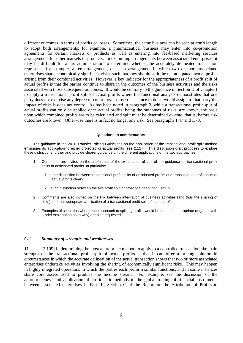different outcomes in terms of profits or losses. Sometimes, the same business can be seen at arm's length to adopt both arrangements; for example, a pharmaceutical business may enter into co-promotion agreements for certain markets or products as well as entering into fee-based marketing services arrangements for other markets or products. In examining arrangements between associated enterprises, it may be difficult for a tax administration to determine whether the accurately delineated transaction represents, for example, a fee arrangement, or is an arrangement in which two or more associated enterprises share economically significant risks, such that they should split the unanticipated, actual profits arising from their combined activities. However, a key indicator for the appropriateness of a profit split of actual profits is that the parties continue to share in the outcomes of the business activities and the risks associated with those subsequent outcomes. It would be contrary to the guidance in Section D of Chapter I to apply a transactional profit split of actual profits where the functional analysis demonstrates that one party does not exercise any degree of control over those risks, since to do so would assign to that party the impact of risks it does not control. As has been noted in paragraph 3, while a transactional profit split of actual profits can only be applied once actual profits, being the outcomes of risks, are known, the basis upon which combined profits are to be calculated and split must be determined *ex ante*, that is, before risk outcomes are known. Otherwise there is in fact no longer any risk. See paragraphs 1.47 and 1.78.

#### **Questions to commentators**

The guidance in the 2010 Transfer Pricing Guidelines on the application of the transactional profit split method envisages its application to either projected or actual profits (see 2.127). This discussion draft proposes to explore these distinctions further and provide clearer guidance on the different applications of the two approaches.

- 1. Comments are invited on the usefulness of the explanation of and of the guidance on transactional profit splits of anticipated profits. In particular:
	- 1. Is the distinction between transactional profit splits of anticipated profits and transactional profit splits of actual profits clear?
	- 2. Is the distinction between the two profit split approaches described useful?
- 2. Comments are also invited on the link between integration of business activities (and thus the sharing of risks) and the appropriate application of a transactional profit split of actual profits.
- 3. Examples of scenarios where each approach to splitting profits would be the most appropriate (together with a brief explanation as to why) are also requested.

#### *C.2 Summary of strengths and weaknesses*

11. [2.109] In determining the most appropriate method to apply to a controlled transaction, the main strength of the transactional profit split of actual profits is that it can offer a pricing solution in circumstances in which the accurate delineation of the actual transaction shows that two or more associated enterprises undertake activities involving the sharing of economically significant risks. This may happen in highly integrated operations in which the parties each perform similar functions, and in some instances share core assets used to produce the income stream. For example, see the discussion of the appropriateness and application of profit split methods to the global trading of financial instruments between associated enterprises in Part III, Section C of the Report on the Attribution of Profits to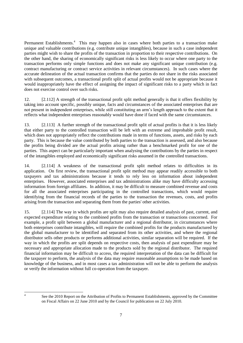Permanent Establishments.<sup>4</sup> This may happen also in cases where both parties to a transaction make unique and valuable contributions (e.g. contribute unique intangibles), because in such a case independent parties might wish to share the profits of the transaction in proportion to their respective contributions. On the other hand, the sharing of economically significant risks is less likely to occur where one party to the transaction performs only simple functions and does not make any significant unique contribution (e.g. contract manufacturing or contract service activities in relevant circumstances). In such cases where the accurate delineation of the actual transaction confirms that the parties do not share in the risks associated with subsequent outcomes, a transactional profit split of actual profits would not be appropriate because it would inappropriately have the effect of assigning the impact of significant risks to a party which in fact does not exercise control over such risks.

12. [2.112] A strength of the transactional profit split method generally is that it offers flexibility by taking into account specific, possibly unique, facts and circumstances of the associated enterprises that are not present in independent enterprises, while still constituting an arm's length approach to the extent that it reflects what independent enterprises reasonably would have done if faced with the same circumstances.

13. [2.113] A further strength of the transactional profit split of actual profits is that it is less likely that either party to the controlled transaction will be left with an extreme and improbable profit result, which does not appropriately reflect the contributions made in terms of functions, assets, and risks by each party. This is because the value contributed by both parties to the transaction is assessed, and also because the profits being divided are the actual profits arising rather than a benchmarked profit for one of the parties. This aspect can be particularly important when analysing the contributions by the parties in respect of the intangibles employed and economically significant risks assumed in the controlled transactions.

14. [2.114] A weakness of the transactional profit split method relates to difficulties in its application. On first review, the transactional profit split method may appear readily accessible to both taxpayers and tax administrations because it tends to rely less on information about independent enterprises. However, associated enterprises and tax administrations alike may have difficulty accessing information from foreign affiliates. In addition, it may be difficult to measure combined revenue and costs for all the associated enterprises participating in the controlled transactions, which would require identifying from the financial records of the parties to the transaction the revenues, costs, and profits arising from the transaction and separating them from the parties' other activities.

15. [2.114] The way in which profits are split may also require detailed analysis of past, current, and expected expenditure relating to the combined profits from the transaction or transactions concerned. For example, a profit split between a global manufacturer and a regional distributor, in circumstances where both enterprises contribute intangibles, will require the combined profits for the products manufactured by the global manufacturer to be identified and separated from its other activities, and where the regional distributor sells other products or performs additional activities, similar separation will be required. If the way in which the profits are split depends on respective costs, then analysis of past expenditure may be necessary and appropriate allocation made to the products sold by the regional distributor. The required financial information may be difficult to access, the required interpretation of the data can be difficult for the taxpayer to perform, the analysis of the data may require reasonable assumptions to be made based on knowledge of the business, and in most cases a tax administration will not be able to perform the analysis or verify the information without full co-operation from the taxpayer.

 $\frac{1}{4}$ 

See the 2010 Report on the Attribution of Profits to Permanent Establishments, approved by the Committee on Fiscal Affairs on 22 June 2010 and by the Council for publication on 22 July 2010.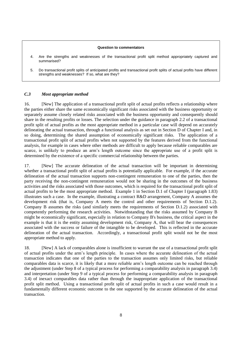#### **Question to commentators**

- 4. Are the strengths and weaknesses of the transactional profit split method appropriately captured and summarised?
- 5. Do transactional profit splits of anticipated profits and transactional profit splits of actual profits have different strengths and weaknesses? If so, what are they?

#### *C.3 Most appropriate method*

16. [New] The application of a transactional profit split of actual profits reflects a relationship where the parties either share the same economically significant risks associated with the business opportunity or separately assume closely related risks associated with the business opportunity and consequently should share in the resulting profits or losses. The selection under the guidance in paragraph 2.2 of a transactional profit split of actual profits as the most appropriate method in a particular case will depend on accurately delineating the actual transaction, through a functional analysis as set out in Section D of Chapter I and, in so doing, determining the shared assumption of economically significant risks. The application of a transactional profit split of actual profits when not supported by the features derived from the functional analysis, for example in cases where other methods are difficult to apply because reliable comparables are scarce, is unlikely to produce an arm's length outcome since the appropriate use of a profit split is determined by the existence of a specific commercial relationship between the parties.

17. [New] The accurate delineation of the actual transaction will be important in determining whether a transactional profit split of actual profits is potentially applicable. For example, if the accurate delineation of the actual transaction supports non-contingent remuneration to one of the parties, then the party receiving the non-contingent remuneration would not be sharing in the outcomes of the business activities and the risks associated with those outcomes, which is required for the transactional profit split of actual profits to be the most appropriate method. Example 1 in Section D.1 of Chapter I (paragraph 1.83) illustrates such a case. In the example, illustrating a contract R&D arrangement, Company A assumes the development risk (that is, Company A meets the control and other requirements of Section D.1.2). Company B assumes the risks (and similarly meets the requirements of Section D.1.2) associated with competently performing the research activities. Notwithstanding that the risks assumed by Company B might be economically significant, especially in relation to Company B's business, the critical aspect in the example is that it is the entity assuming development risk, Company A, that will bear the consequences associated with the success or failure of the intangible to be developed. This is reflected in the accurate delineation of the actual transaction. Accordingly, a transactional profit split would not be the most appropriate method to apply.

18. [New] A lack of comparables alone is insufficient to warrant the use of a transactional profit split of actual profits under the arm's length principle. In cases where the accurate delineation of the actual transaction indicates that one of the parties to the transaction assumes only limited risks, but reliable comparables data is scarce, it is likely that a more reliable arm's length outcome can be reached through the adjustment (under Step 8 of a typical process for performing a comparability analysis in paragraph 3.4) and interpretation (under Step 9 of a typical process for performing a comparability analysis in paragraph 3.4) of inexact comparables data rather than through the inappropriate application of the transactional profit split method. Using a transactional profit split of actual profits in such a case would result in a fundamentally different economic outcome to the one supported by the accurate delineation of the actual transaction.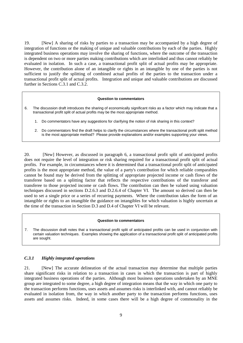19. [New] A sharing of risks by parties to a transaction may be accompanied by a high degree of integration of functions or the making of unique and valuable contributions by each of the parties. Highly integrated business operations may involve the sharing of functions, where the outcome of the transaction is dependent on two or more parties making contributions which are interlinked and thus cannot reliably be evaluated in isolation. In such a case, a transactional profit split of actual profits may be appropriate. However, the contribution alone of an intangible or rights in an intangible by one of the parties is not sufficient to justify the splitting of combined actual profits of the parties to the transaction under a transactional profit split of actual profits. Integration and unique and valuable contributions are discussed further in Sections C.3.1 and C.3.2.

#### **Question to commentators**

- 6. The discussion draft introduces the sharing of economically significant risks as a factor which may indicate that a transactional profit split of actual profits may be the most appropriate method.
	- 1. Do commentators have any suggestions for clarifying the notion of risk sharing in this context?
	- 2. Do commentators find the draft helps to clarify the circumstances where the transactional profit split method is the most appropriate method? Please provide explanations and/or examples supporting your views.

20. [New] However, as discussed in paragraph 6, a transactional profit split of anticipated profits does not require the level of integration or risk sharing required for a transactional profit split of actual profits. For example, in circumstances where it is determined that a transactional profit split of anticipated profits is the most appropriate method, the value of a party's contribution for which reliable comparables cannot be found may be derived from the splitting of appropriate projected income or cash flows of the transferee based on a splitting factor that reflects the respective contributions of the transferor and transferee to those projected income or cash flows. The contribution can then be valued using valuation techniques discussed in sections D.2.6.3 and D.2.6.4 of Chapter VI. The amount so derived can then be used to set a single price or a series of recurring payments. Where the contribution takes the form of an intangible or rights to an intangible the guidance on intangibles for which valuation is highly uncertain at the time of the transaction in Section D.3 and D.4 of Chapter VI will be relevant.

#### **Question to commentators**

7. The discussion draft notes that a transactional profit split of anticipated profits can be used in conjunction with certain valuation techniques. Examples showing the application of a transactional profit split of anticipated profits are sought.

# *C.3.1 Highly integrated operations*

21. [New] The accurate delineation of the actual transaction may determine that multiple parties share significant risks in relation to a transaction in cases in which the transaction is part of highly integrated business operations of the parties. Although most business operations undertaken by an MNE group are integrated to some degree, a high degree of integration means that the way in which one party to the transaction performs functions, uses assets and assumes risks is interlinked with, and cannot reliably be evaluated in isolation from, the way in which another party to the transaction performs functions, uses assets and assumes risks. Indeed, in some cases there will be a high degree of commonality in the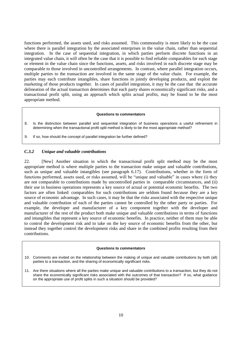functions performed, the assets used, and risks assumed. This commonality is more likely to be the case where there is parallel integration by the associated enterprises in the value chain, rather than sequential integration. In the case of sequential integration, in which parties perform discrete functions in an integrated value chain, it will often be the case that it is possible to find reliable comparables for each stage or element in the value chain since the functions, assets, and risks involved in each discrete stage may be comparable to those involved in uncontrolled arrangements. In contrast, where parallel integration occurs, multiple parties to the transaction are involved in the same stage of the value chain. For example, the parties may each contribute intangibles, share functions in jointly developing products, and exploit the marketing of those products together. In cases of parallel integration, it may be the case that the accurate delineation of the actual transaction determines that each party shares economically significant risks, and a transactional profit split, using an approach which splits actual profits, may be found to be the most appropriate method.

#### **Questions to commentators**

- 8. Is the distinction between parallel and sequential integration of business operations a useful refinement in determining when the transactional profit split method is likely to be the most appropriate method?
- 9. If so, how should the concept of parallel integration be further defined?

#### *C.3.2 Unique and valuable contributions*

22. [New] Another situation in which the transactional profit split method may be the most appropriate method is where multiple parties to the transaction make unique and valuable contributions, such as unique and valuable intangibles (see paragraph 6.17). Contributions, whether in the form of functions performed, assets used, or risks assumed, will be "unique and valuable" in cases where (i) they are not comparable to contributions made by uncontrolled parties in comparable circumstances, and (ii) their use in business operations represents a key source of actual or potential economic benefits. The two factors are often linked: comparables for such contributions are seldom found *because* they are a key source of economic advantage. In such cases, it may be that the risks associated with the respective unique and valuable contribution of each of the parties cannot be controlled by the other party or parties. For example, the developer and manufacturer of a key component together with the developer and manufacturer of the rest of the product both make unique and valuable contributions in terms of functions and intangibles that represent a key source of economic benefits. In practice, neither of them may be able to control the development risk and to take on the key source of economic benefits from the other, but instead they together control the development risks and share in the combined profits resulting from their contributions.

#### **Questions to commentators**

- 10. Comments are invited on the relationship between the making of unique and valuable contributions by both (all) parties to a transaction, and the sharing of economically significant risks.
- 11. Are there situations where all the parties make unique and valuable contributions to a transaction, but they do not share the economically significant risks associated with the outcomes of that transaction? If so, what guidance on the appropriate use of profit splits in such a situation should be provided?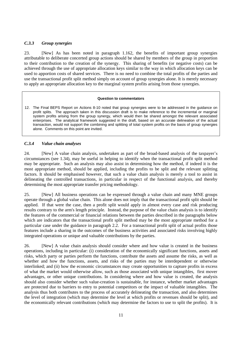# *C.3.3 Group synergies*

23. [New] As has been noted in paragraph 1.162, the benefits of important group synergies attributable to deliberate concerted group actions should be shared by members of the group in proportion to their contribution to the creation of the synergy. This sharing of benefits (or negative costs) can be achieved through the use of appropriate allocation keys similar to the way in which allocation keys can be used to apportion costs of shared services. There is no need to combine the total profits of the parties and use the transactional profit split method simply on account of group synergies alone. It is merely necessary to apply an appropriate allocation key to the marginal system profits arising from those synergies.

#### **Question to commentators**

12. The Final BEPS Report on Actions 8-10 noted that group synergies were to be addressed in the guidance on profit splits. The approach taken in this discussion draft is to make reference to the incremental or marginal system profits arising from the group synergy, which would then be shared amongst the relevant associated enterprises. The analytical framework suggested in the draft, based on an accurate delineation of the actual transaction, would not support the combining and splitting of total system profits on the basis of group synergies alone. Comments on this point are invited.

#### *C.3.4 Value chain analyses*

24. [New] A value chain analysis, undertaken as part of the broad-based analysis of the taxpayer's circumstances (see 1.34), may be useful in helping to identify when the transactional profit split method may be appropriate. Such an analysis may also assist in determining how the method, if indeed it is the most appropriate method, should be applied, including the profits to be split and the relevant splitting factors. It should be emphasised however, that such a value chain analysis is merely a tool to assist in delineating the controlled transactions, in particular in respect of the functional analysis, and thereby determining the most appropriate transfer pricing methodology.

25. [New] All business operations can be expressed through a value chain and many MNE groups operate through a global value chain. This alone does not imply that the transactional profit split should be applied. If that were the case, then a profit split would apply in almost every case and risk producing results contrary to the arm's length principle. Instead, the purpose of the value chain analysis is to identify the features of the commercial or financial relations between the parties described in the paragraphs below which are indicators that the transactional profit split method may be the most appropriate method for a particular case under the guidance in paragraph 2.2. For a transactional profit split of actual profits those features include a sharing in the outcomes of the business activities and associated risks involving highly integrated operations or unique and valuable contributions by the parties.

26. [New] A value chain analysis should consider where and how value is created in the business operations, including in particular: (i) consideration of the economically significant functions, assets and risks, which party or parties perform the functions, contribute the assets and assume the risks, as well as whether and how the functions, assets, and risks of the parties may be interdependent or otherwise interlinked; and (ii) how the economic circumstances may create opportunities to capture profits in excess of what the market would otherwise allow, such as those associated with unique intangibles, first mover advantages, or other unique contributions. In considering where and how value is created, the analysis should also consider whether such value-creation is sustainable, for instance, whether market advantages are protected due to barriers to entry to potential competitors or the impact of valuable intangibles. The analysis thus both contributes to the process of accurately delineating the transaction, and also determines the level of integration (which may determine the level at which profits or revenues should be split), and the economically relevant contributions (which may determine the factors to use to split the profits). It is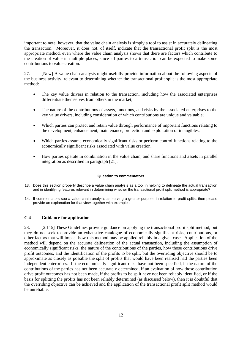important to note, however, that the value chain analysis is simply a tool to assist in accurately delineating the transaction. Moreover, it does not, of itself, indicate that the transactional profit split is the most appropriate method, even where the value chain analysis shows that there are factors which contribute to the creation of value in multiple places, since all parties to a transaction can be expected to make some contributions to value creation.

27. [New] A value chain analysis might usefully provide information about the following aspects of the business activity, relevant to determining whether the transactional profit split is the most appropriate method:

- The key value drivers in relation to the transaction, including how the associated enterprises differentiate themselves from others in the market;
- The nature of the contributions of assets, functions, and risks by the associated enterprises to the key value drivers, including consideration of which contributions are unique and valuable;
- Which parties can protect and retain value through performance of important functions relating to the development, enhancement, maintenance, protection and exploitation of intangibles;
- Which parties assume economically significant risks or perform control functions relating to the economically significant risks associated with value creation;
- How parties operate in combination in the value chain, and share functions and assets in parallel integration as described in paragraph [21].

#### **Question to commentators**

- 13. Does this section properly describe a value chain analysis as a tool in helping to delineate the actual transaction and in identifying features relevant in determining whether the transactional profit split method is appropriate?
- 14. If commentators see a value chain analysis as serving a greater purpose in relation to profit splits, then please provide an explanation for that view together with examples.

#### **C.4 Guidance for application**

28. [2.115] These Guidelines provide guidance on applying the transactional profit split method, but they do not seek to provide an exhaustive catalogue of economically significant risks, contributions, or other factors that will impact how this method may be applied reliably in a given case. Application of the method will depend on the accurate delineation of the actual transaction, including the assumption of economically significant risks, the nature of the contributions of the parties, how those contributions drive profit outcomes, and the identification of the profits to be split, but the overriding objective should be to approximate as closely as possible the split of profits that would have been realised had the parties been independent enterprises. If the economically significant risks have not been specified, if the nature of the contributions of the parties has not been accurately determined, if an evaluation of how those contribution drive profit outcomes has not been made, if the profits to be split have not been reliably identified, or if the basis for splitting the profits has not been reliably determined (as discussed below), then it is doubtful that the overriding objective can be achieved and the application of the transactional profit split method would be unreliable.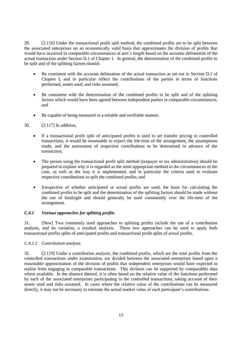29. [2.116] Under the transactional profit split method, the combined profits are to be split between the associated enterprises on an economically valid basis that approximates the division of profits that would have occurred in comparable circumstances at arm's length based on the accurate delineation of the actual transaction under Section D.1 of Chapter 1. In general, the determination of the combined profits to be split and of the splitting factors should:

- Be consistent with the accurate delineation of the actual transaction as set out in Section D.1 of Chapter I, and in particular reflect the contributions of the parties in terms of functions performed, assets used, and risks assumed;
- Be consistent with the determination of the combined profits to be split and of the splitting factors which would have been agreed between independent parties in comparable circumstances; and
- Be capable of being measured in a reliable and verifiable manner.
- 30. [2.117] In addition,
	- If a transactional profit split of anticipated profits is used to set transfer pricing in controlled transactions, it would be reasonable to expect the life-time of the arrangement, the assumptions made, and the assessment of respective contributions to be determined in advance of the transaction;
	- The person using the transactional profit split method (taxpayer or tax administration) should be prepared to explain why it is regarded as the most appropriate method to the circumstances of the case, as well as the way it is implemented, and in particular the criteria used to evaluate respective contributions to split the combined profits; and
	- Irrespective of whether anticipated or actual profits are used, the basis for calculating the combined profits to be split and the determination of the splitting factors should be made without the use of hindsight and should generally be used consistently over the life-time of the arrangement.

#### *C.4.1 Various approaches for splitting profits*

31. [New] Two commonly used approaches to splitting profits include the use of a contribution analysis, and its variation, a residual analysis. These two approaches can be used to apply both transactional profits splits of anticipated profits and transactional profit splits of actual profits.

# *C.4.1.1 Contribution analysis*

32. [2.119] Under a contribution analysis, the combined profits, which are the total profits from the controlled transactions under examination, are divided between the associated enterprises based upon a reasonable approximation of the division of profits that independent enterprises would have expected to realise from engaging in comparable transactions. This division can be supported by comparables data where available. In the absence thereof, it is often based on the relative value of the functions performed by each of the associated enterprises participating in the controlled transactions, taking account of their assets used and risks assumed. In cases where the relative value of the contributions can be measured directly, it may not be necessary to estimate the actual market value of each participant's contributions.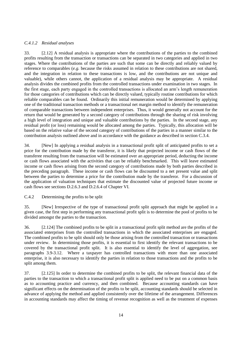# *C.4.1.2 Residual analyses*

33. [2.12] A residual analysis is appropriate where the contributions of the parties to the combined profits resulting from the transaction or transactions can be separated in two categories and applied in two stages. Where the contributions of the parties are such that some can be directly and reliably valued by reference to comparables (*e.g.* because the risks assumed in relation to these contributions are not shared, and the integration in relation to these transactions is low, and the contributions are not unique and valuable), while others cannot, the application of a residual analysis may be appropriate. A residual analysis divides the combined profits from the controlled transactions under examination in two stages. In the first stage, each party engaged in the controlled transactions is allocated an arm's length remuneration for those categories of contributions which can be directly valued, typically routine contributions for which reliable comparables can be found. Ordinarily this initial remuneration would be determined by applying one of the traditional transaction methods or a transactional net margin method to identify the remuneration of comparable transactions between independent enterprises. Thus, it would generally not account for the return that would be generated by a second category of contributions through the sharing of risk involving a high level of integration and unique and valuable contributions by the parties. In the second stage, any residual profit (or loss) remaining would be allocated among the parties. Typically, this allocation will be based on the relative value of the second category of contributions of the parties in a manner similar to the contribution analysis outlined above and in accordance with the guidance as described in section C.3.4.

34. [New] In applying a residual analysis in a transactional profit split of anticipated profits to set a price for the contribution made by the transferor, it is likely that projected income or cash flows of the transferee resulting from the transaction will be estimated over an appropriate period, deducting the income or cash flows associated with the activities that can be reliably benchmarked. This will leave estimated income or cash flows arising from the second category of contributions made by both parties described in the preceding paragraph. These income or cash flows can be discounted to a net present value and split between the parties to determine a price for the contribution made by the transferor. For a discussion of the application of valuation techniques that estimate the discounted value of projected future income or cash flows see sections D.2.6.3 and D.2.6.4 of Chapter VI.

C.4.2 Determining the profits to be split

35. [New] Irrespective of the type of transactional profit split approach that might be applied in a given case, the first step in performing any transactional profit split is to determine the pool of profits to be divided amongst the parties to the transaction.

36. [2.124] The combined profits to be split in a transactional profit split method are the profits of the associated enterprises from the controlled transactions in which the associated enterprises are engaged. The combined profits to be split should only be those arising from the controlled transaction or transactions under review. In determining those profits, it is essential to first identify the relevant transactions to be covered by the transactional profit split. It is also essential to identify the level of aggregation, see paragraphs 3.9-3.12. Where a taxpayer has controlled transactions with more than one associated enterprise, it is also necessary to identify the parties in relation to those transactions and the profits to be split among them.

37. [2.125] In order to determine the combined profits to be split, the relevant financial data of the parties to the transaction to which a transactional profit split is applied need to be put on a common basis as to accounting practice and currency, and then combined. Because accounting standards can have significant effects on the determination of the profits to be split, accounting standards should be selected in advance of applying the method and applied consistently over the lifetime of the arrangement. Differences in accounting standards may affect the timing of revenue recognition as well as the treatment of expenses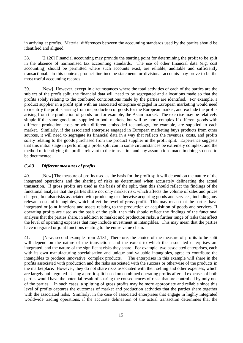in arriving at profits. Material differences between the accounting standards used by the parties should be identified and aligned.

38. [2.126] Financial accounting may provide the starting point for determining the profit to be split in the absence of harmonised tax accounting standards. The use of other financial data (e.g. cost accounting) should be permitted where such accounts exist, are reliable, auditable and sufficiently transactional. In this context, product-line income statements or divisional accounts may prove to be the most useful accounting records.

39. [New] However, except in circumstances where the total activities of each of the parties are the subject of the profit split, the financial data will need to be segregated and allocations made so that the profits solely relating to the combined contributions made by the parties are identified. For example, a product supplier in a profit split with an associated enterprise engaged in European marketing would need to identify the profits arising from its production of goods for the European market, and exclude the profits arising from the production of goods for, for example, the Asian market. The exercise may be relatively simple if the same goods are supplied to both markets, but will be more complex if different goods with different production costs or with different embedded technology, for example, are supplied to each market. Similarly, if the associated enterprise engaged in European marketing buys products from other sources, it will need to segregate its financial data in a way that reflects the revenues, costs, and profits solely relating to the goods purchased from the product supplier in the profit split. Experience suggests that this initial stage in performing a profit split can in some circumstances be extremely complex, and the method of identifying the profits relevant to the transaction and any assumptions made in doing so need to be documented.

# *C.4.3 Different measures of profits*

40. [New] The measure of profits used as the basis for the profit split will depend on the nature of the integrated operations and the sharing of risks as determined when accurately delineating the actual transaction. If gross profits are used as the basis of the split, then this should reflect the findings of the functional analysis that the parties share not only market risk, which affects the volume of sales and prices charged, but also risks associated with producing or otherwise acquiring goods and services, including any relevant costs of intangibles, which affect the level of gross profit. This may mean that the parties have integrated or joint functions and assets relating to the production or acquisition of goods and services. If operating profits are used as the basis of the split, then this should reflect the findings of the functional analysis that the parties share, in addition to market and production risks, a further range of risks that affect the level of operating expenses that may include investment in intangibles. This may mean that the parties have integrated or joint functions relating to the entire value chain.

41. [New, second example from 2.131] Therefore, the choice of the measure of profits to be split will depend on the nature of the transactions and the extent to which the associated enterprises are integrated, and the nature of the significant risks they share. For example, two associated enterprises, each with its own manufacturing specialisation and unique and valuable intangibles, agree to contribute the intangibles to produce innovative, complex products. The enterprises in this example will share in the profits associated with production and the risks associated with the success or otherwise of the products in the marketplace. However, they do not share risks associated with their selling and other expenses, which are largely unintegrated. Using a profit split based on combined operating profits after all expenses of both parties would have the potential result of sharing the consequences of risks that are controlled by only one of the parties. In such cases, a splitting of gross profits may be more appropriate and reliable since this level of profits captures the outcomes of market and production activities that the parties share together with the associated risks. Similarly, in the case of associated enterprises that engage in highly integrated worldwide trading operations, if the accurate delineation of the actual transaction determines that the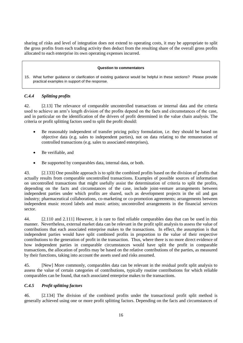sharing of risks and level of integration does not extend to operating costs, it may be appropriate to split the gross profits from each trading activity then deduct from the resulting share of the overall gross profits allocated to each enterprise its own operating expenses incurred.

#### **Question to commentators**

15. What further guidance or clarification of existing guidance would be helpful in these sections? Please provide practical examples in support of the response.

# *C.4.4 Splitting profits*

42. [2.13] The relevance of comparable uncontrolled transactions or internal data and the criteria used to achieve an arm's length division of the profits depend on the facts and circumstances of the case, and in particular on the identification of the drivers of profit determined in the value chain analysis. The criteria or profit splitting factors used to split the profit should:

- Be reasonably independent of transfer pricing policy formulation, i.e. they should be based on objective data (e.g. sales to independent parties), not on data relating to the remuneration of controlled transactions (e.g. sales to associated enterprises),
- Be verifiable, and
- Be supported by comparables data, internal data, or both.

43. [2.133] One possible approach is to split the combined profits based on the division of profits that actually results from comparable uncontrolled transactions. Examples of possible sources of information on uncontrolled transactions that might usefully assist the determination of criteria to split the profits, depending on the facts and circumstances of the case, include joint-venture arrangements between independent parties under which profits are shared, such as development projects in the oil and gas industry; pharmaceutical collaborations, co-marketing or co-promotion agreements; arrangements between independent music record labels and music artists; uncontrolled arrangements in the financial services sector.

44. [2.110 and 2.111] However, it is rare to find reliable comparables data that can be used in this manner. Nevertheless, external market data can be relevant in the profit split analysis to assess the value of contributions that each associated enterprise makes to the transactions. In effect, the assumption is that independent parties would have split combined profits in proportion to the value of their respective contributions to the generation of profit in the transaction. Thus, where there is no more direct evidence of how independent parties in comparable circumstances would have split the profit in comparable transactions, the allocation of profits may be based on the relative contributions of the parties, as measured by their functions, taking into account the assets used and risks assumed.

45. [New] More commonly, comparables data can be relevant in the residual profit split analysis to assess the value of certain categories of contributions, typically routine contributions for which reliable comparables can be found, that each associated enterprise makes to the transactions.

#### *C.4.5 Profit splitting factors*

46. [2.134] The division of the combined profits under the transactional profit split method is generally achieved using one or more profit splitting factors. Depending on the facts and circumstances of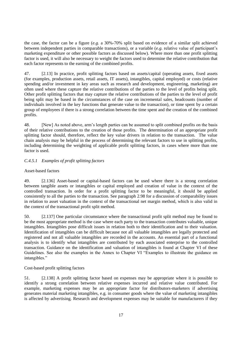the case, the factor can be a figure (*e.g.* a 30%-70% split based on evidence of a similar split achieved between independent parties in comparable transactions), or a variable (*e.g.* relative value of participant's marketing expenditure or other possible factors as discussed below). Where more than one profit splitting factor is used, it will also be necessary to weight the factors used to determine the relative contribution that each factor represents to the earning of the combined profits.

47. [2.13] In practice, profit splitting factors based on assets/capital (operating assets, fixed assets (for examples, production assets, retail assets, IT assets), intangibles, capital employed) or costs (relative spending and/or investment in key areas such as research and development, engineering, marketing) are often used where these capture the relative contributions of the parties to the level of profits being split. Other profit splitting factors that may capture the relative contributions of the parties to the level of profit being split may be based in the circumstances of the case on incremental sales, headcounts (number of individuals involved in the key functions that generate value to the transaction), or time spent by a certain group of employees if there is a strong correlation between the time spent and the creation of the combined profits.

48. [New] As noted above, arm's length parties can be assumed to split combined profits on the basis of their relative contributions to the creation of those profits. The determination of an appropriate profit splitting factor should, therefore, reflect the key value drivers in relation to the transaction. The value chain analysis may be helpful in the process of determining the relevant factors to use in splitting profits, including determining the weighting of applicable profit splitting factors, in cases where more than one factor is used.

# *C.4.5.1 Examples of profit splitting factors*

#### Asset-based factors

49. [2.136] Asset-based or capital-based factors can be used where there is a strong correlation between tangible assets or intangibles or capital employed and creation of value in the context of the controlled transaction. In order for a profit splitting factor to be meaningful, it should be applied consistently to all the parties to the transaction. See paragraph 2.98 for a discussion of comparability issues in relation to asset valuation in the context of the transactional net margin method, which is also valid in the context of the transactional profit split method.

50. [2.137] One particular circumstance where the transactional profit split method may be found to be the most appropriate method is the case where each party to the transaction contributes valuable, unique intangibles. Intangibles pose difficult issues in relation both to their identification and to their valuation. Identification of intangibles can be difficult because not all valuable intangibles are legally protected and registered and not all valuable intangibles are recorded in the accounts. An essential part of a functional analysis is to identify what intangibles are contributed by each associated enterprise to the controlled transaction. Guidance on the identification and valuation of intangibles is found at Chapter VI of these Guidelines. See also the examples in the Annex to Chapter VI "Examples to illustrate the guidance on intangibles."

#### Cost-based profit splitting factors

51. [2.138] A profit splitting factor based on expenses may be appropriate where it is possible to identify a strong correlation between relative expenses incurred and relative value contributed. For example, marketing expenses may be an appropriate factor for distributors-marketers if advertising generates material marketing intangibles, e.g. in consumer goods where the value of marketing intangibles is affected by advertising. Research and development expenses may be suitable for manufacturers if they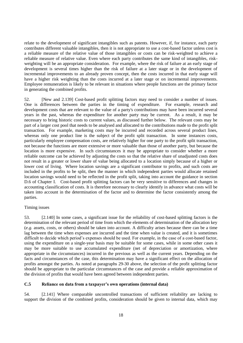relate to the development of significant intangibles such as patents. However, if, for instance, each party contributes different valuable intangibles, then it is not appropriate to use a cost-based factor unless cost is a reliable measure of the relative value of those intangibles or costs can be risk-weighted to achieve a reliable measure of relative value. Even where each party contributes the same kind of intangibles, riskweighting will be an appropriate consideration. For example, where the risk of failure at an early stage of development is several times higher than the risk of failure at a later stage or in the development of incremental improvements to an already proven concept, then the costs incurred in that early stage will have a higher risk weighting than the costs incurred at a later stage or on incremental improvements. Employee remuneration is likely to be relevant in situations where people functions are the primary factor in generating the combined profits.

52. [New and 2.139] Cost-based profit splitting factors may need to consider a number of issues. One is differences between the parties in the timing of expenditure. For example, research and development costs that are relevant to the value of a party's contributions may have been incurred several years in the past, whereas the expenditure for another party may be current. As a result, it may be necessary to bring historic costs to current values, as discussed further below. The relevant costs may be part of a larger cost pool that needs to be analysed and allocated to the contributions made to the profit split transaction. For example, marketing costs may be incurred and recorded across several product lines, whereas only one product line is the subject of the profit split transaction. In some instances costs, particularly employee compensation costs, are relatively higher for one party to the profit split transaction, not because the functions are more extensive or more valuable than those of another party, but because the location is more expensive. In such circumstances it may be appropriate to consider whether a more reliable outcome can be achieved by adjusting the costs so that the relative share of unadjusted costs does not result in a greater or lower share of value being allocated to a location simply because of a higher or lower cost of living. Where location savings are a significant contributor to profits, and such costs are included in the profits to be split, then the manner in which independent parties would allocate retained location savings would need to be reflected in the profit split, taking into account the guidance in section D.6 of Chapter I. Cost-based profit splitting factors can be very sensitive to differences and changes in accounting classification of costs. It is therefore necessary to clearly identify in advance what costs will be taken into account in the determination of the factor and to determine the factor consistently among the parties.

#### Timing issues

53. [2.140] In some cases, a significant issue for the reliability of cost-based splitting factors is the determination of the relevant period of time from which the elements of determination of the allocation key (*e.g.* assets, costs, or others) should be taken into account. A difficulty arises because there can be a time lag between the time when expenses are incurred and the time when value is created, and it is sometimes difficult to decide which period's expenses should be used. For example, in the case of a cost-based factor, using the expenditure on a single-year basis may be suitable for some cases, while in some other cases it may be more suitable to use accumulated expenditure (net of depreciation or amortization, where appropriate in the circumstances) incurred in the previous as well as the current years. Depending on the facts and circumstances of the case, this determination may have a significant effect on the allocation of profits amongst the parties. As noted at paragraphs 29-30 above, the selection of the profit splitting factor should be appropriate to the particular circumstances of the case and provide a reliable approximation of the division of profits that would have been agreed between independent parties.

#### **C.5 Reliance on data from a taxpayer's own operations (internal data)**

54. [2.141] Where comparable uncontrolled transactions of sufficient reliability are lacking to support the division of the combined profits, consideration should be given to internal data, which may